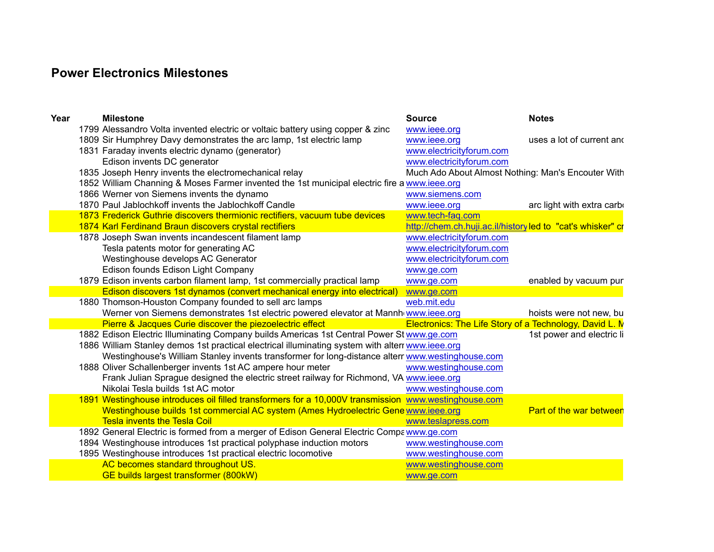## **Power Electronics Milestones**

| Year | <b>Milestone</b>                                                                                     | <b>Source</b>                                                  | <b>Notes</b>               |
|------|------------------------------------------------------------------------------------------------------|----------------------------------------------------------------|----------------------------|
|      | 1799 Alessandro Volta invented electric or voltaic battery using copper & zinc                       | www.ieee.org                                                   |                            |
|      | 1809 Sir Humphrey Davy demonstrates the arc lamp, 1st electric lamp                                  | www.ieee.org                                                   | uses a lot of current and  |
|      | 1831 Faraday invents electric dynamo (generator)                                                     | www.electricityforum.com                                       |                            |
|      | Edison invents DC generator                                                                          | www.electricityforum.com                                       |                            |
|      | 1835 Joseph Henry invents the electromechanical relay                                                | Much Ado About Almost Nothing: Man's Encouter With             |                            |
|      | 1852 William Channing & Moses Farmer invented the 1st municipal electric fire a www.ieee.org         |                                                                |                            |
|      | 1866 Werner von Siemens invents the dynamo                                                           | www.siemens.com                                                |                            |
|      | 1870 Paul Jablochkoff invents the Jablochkoff Candle                                                 | www.ieee.org                                                   | arc light with extra carbo |
|      | 1873 Frederick Guthrie discovers thermionic rectifiers, vacuum tube devices                          | www.tech-faq.com                                               |                            |
|      | 1874 Karl Ferdinand Braun discovers crystal rectifiers                                               | http://chem.ch.huji.ac.il/historyled to "cat's whisker" cr     |                            |
|      | 1878 Joseph Swan invents incandescent filament lamp                                                  | www.electricityforum.com                                       |                            |
|      | Tesla patents motor for generating AC                                                                | www.electricityforum.com                                       |                            |
|      | Westinghouse develops AC Generator                                                                   | www.electricityforum.com                                       |                            |
|      | Edison founds Edison Light Company                                                                   | www.ge.com                                                     |                            |
|      | 1879 Edison invents carbon filament lamp, 1st commercially practical lamp                            | www.ge.com                                                     | enabled by vacuum pur      |
|      | Edison discovers 1st dynamos (convert mechanical energy into electrical)                             | www.ge.com                                                     |                            |
|      | 1880 Thomson-Houston Company founded to sell arc lamps                                               | web.mit.edu                                                    |                            |
|      | Werner von Siemens demonstrates 1st electric powered elevator at Mannh www.ieee.org                  |                                                                | hoists were not new, bu    |
|      | Pierre & Jacques Curie discover the piezoelectric effect                                             | <b>Electronics: The Life Story of a Technology, David L. N</b> |                            |
|      | 1882 Edison Electric Illuminating Company builds Americas 1st Central Power St www.ge.com            |                                                                | 1st power and electric li  |
|      | 1886 William Stanley demos 1st practical electrical illuminating system with alterr www.ieee.org     |                                                                |                            |
|      | Westinghouse's William Stanley invents transformer for long-distance alterr www.westinghouse.com     |                                                                |                            |
|      | 1888 Oliver Schallenberger invents 1st AC ampere hour meter                                          | www.westinghouse.com                                           |                            |
|      | Frank Julian Sprague designed the electric street railway for Richmond, VA www.ieee.org              |                                                                |                            |
|      | Nikolai Tesla builds 1st AC motor                                                                    | www.westinghouse.com                                           |                            |
|      | 1891 Westinghouse introduces oil filled transformers for a 10,000V transmission www.westinghouse.com |                                                                |                            |
|      | Westinghouse builds 1st commercial AC system (Ames Hydroelectric Gene www.ieee.org                   |                                                                | Part of the war between    |
|      | <b>Tesla invents the Tesla Coil</b>                                                                  | www.teslapress.com                                             |                            |
|      | 1892 General Electric is formed from a merger of Edison General Electric Compa www.ge.com            |                                                                |                            |
|      | 1894 Westinghouse introduces 1st practical polyphase induction motors                                | www.westinghouse.com                                           |                            |
|      | 1895 Westinghouse introduces 1st practical electric locomotive                                       | www.westinghouse.com                                           |                            |
|      | AC becomes standard throughout US.                                                                   | www.westinghouse.com                                           |                            |
|      | GE builds largest transformer (800kW)                                                                | www.ge.com                                                     |                            |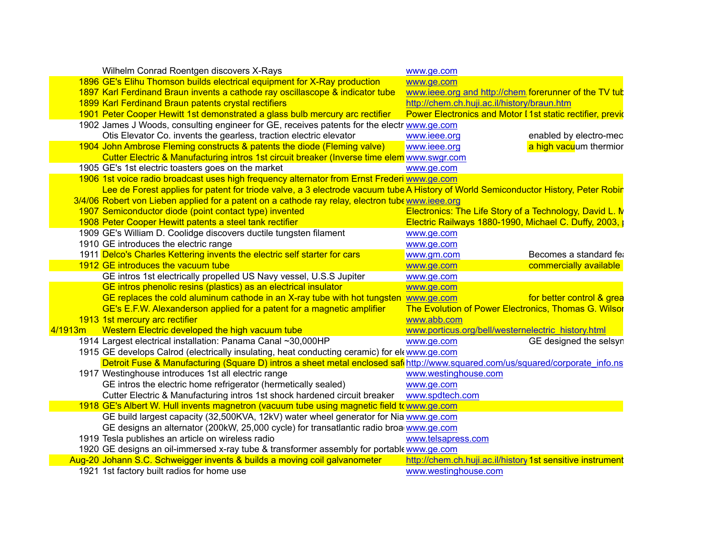| Wilhelm Conrad Roentgen discovers X-Rays                                                                                           | www.ge.com                                                           |                           |
|------------------------------------------------------------------------------------------------------------------------------------|----------------------------------------------------------------------|---------------------------|
| 1896 GE's Elihu Thomson builds electrical equipment for X-Ray production                                                           | www.ge.com                                                           |                           |
| 1897 Karl Ferdinand Braun invents a cathode ray oscillascope & indicator tube                                                      | www.ieee.org and http://chem.forerunner of the TV tub                |                           |
| 1899 Karl Ferdinand Braun patents crystal rectifiers                                                                               | http://chem.ch.huji.ac.il/history/braun.htm                          |                           |
| 1901 Peter Cooper Hewitt 1st demonstrated a glass bulb mercury arc rectifier                                                       | <b>Power Electronics and Motor I 1st static rectifier, prevident</b> |                           |
| 1902 James J Woods, consulting engineer for GE, receives patents for the electr www.ge.com                                         |                                                                      |                           |
| Otis Elevator Co. invents the gearless, traction electric elevator                                                                 | www.ieee.org                                                         | enabled by electro-mec    |
| 1904 John Ambrose Fleming constructs & patents the diode (Fleming valve)                                                           | www.ieee.org                                                         | a high vacuum thermior    |
| Cutter Electric & Manufacturing intros 1st circuit breaker (Inverse time elem www.swgr.com                                         |                                                                      |                           |
| 1905 GE's 1st electric toasters goes on the market                                                                                 | www.ge.com                                                           |                           |
| 1906 1st voice radio broadcast uses high frequency alternator from Ernst Frederi www.ge.com                                        |                                                                      |                           |
| Lee de Forest applies for patent for triode valve, a 3 electrode vacuum tube A History of World Semiconductor History, Peter Robir |                                                                      |                           |
| 3/4/06 Robert von Lieben applied for a patent on a cathode ray relay, electron tube www.ieee.org                                   |                                                                      |                           |
| 1907 Semiconductor diode (point contact type) invented                                                                             | Electronics: The Life Story of a Technology, David L. M              |                           |
| 1908 Peter Cooper Hewitt patents a steel tank rectifier                                                                            | Electric Railways 1880-1990, Michael C. Duffy, 2003,                 |                           |
| 1909 GE's William D. Coolidge discovers ductile tungsten filament                                                                  | www.ge.com                                                           |                           |
| 1910 GE introduces the electric range                                                                                              | www.ge.com                                                           |                           |
| 1911 Delco's Charles Kettering invents the electric self starter for cars                                                          | www.gm.com                                                           | Becomes a standard fea    |
| 1912 GE introduces the vacuum tube                                                                                                 | www.ge.com                                                           | commercially available    |
| GE intros 1st electrically propelled US Navy vessel, U.S.S Jupiter                                                                 | www.ge.com                                                           |                           |
| GE intros phenolic resins (plastics) as an electrical insulator                                                                    | www.ge.com                                                           |                           |
| GE replaces the cold aluminum cathode in an X-ray tube with hot tungsten www.ge.com                                                |                                                                      | for better control & grea |
| GE's E.F.W. Alexanderson applied for a patent for a magnetic amplifier                                                             | The Evolution of Power Electronics, Thomas G. Wilsor                 |                           |
| 1913 1st mercury arc rectifier                                                                                                     | www.abb.com                                                          |                           |
| Western Electric developed the high vacuum tube<br>4/1913m                                                                         | www.porticus.org/bell/westernelectric history.html                   |                           |
| 1914 Largest electrical installation: Panama Canal ~30,000HP                                                                       | www.ge.com                                                           | GE designed the selsyn    |
| 1915 GE develops Calrod (electrically insulating, heat conducting ceramic) for ele www.ge.com                                      |                                                                      |                           |
| Detroit Fuse & Manufacturing (Square D) intros a sheet metal enclosed safi http://www.squared.com/us/squared/corporate info.ns     |                                                                      |                           |
| 1917 Westinghouse introduces 1st all electric range                                                                                | www.westinghouse.com                                                 |                           |
| GE intros the electric home refrigerator (hermetically sealed)                                                                     | www.ge.com                                                           |                           |
| Cutter Electric & Manufacturing intros 1st shock hardened circuit breaker                                                          | www.spdtech.com                                                      |                           |
| 1918 GE's Albert W. Hull invents magnetron (vacuum tube using magnetic field to www.ge.com                                         |                                                                      |                           |
| GE build largest capacity (32,500KVA, 12kV) water wheel generator for Nia www.ge.com                                               |                                                                      |                           |
| GE designs an alternator (200kW, 25,000 cycle) for transatlantic radio broa www.ge.com                                             |                                                                      |                           |
| 1919 Tesla publishes an article on wireless radio                                                                                  | www.telsapress.com                                                   |                           |
| 1920 GE designs an oil-immersed x-ray tube & transformer assembly for portable www.ge.com                                          |                                                                      |                           |
| Aug-20 Johann S.C. Schweigger invents & builds a moving coil galvanometer                                                          | http://chem.ch.huji.ac.il/history 1st sensitive instrument           |                           |
| 1921 1st factory built radios for home use                                                                                         | www.westinghouse.com                                                 |                           |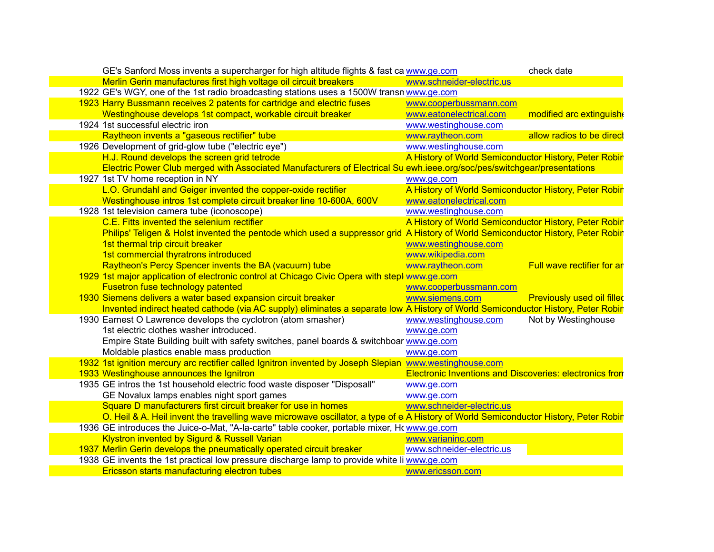| GE's Sanford Moss invents a supercharger for high altitude flights & fast ca www.ge.com                                              | check date                                                     |
|--------------------------------------------------------------------------------------------------------------------------------------|----------------------------------------------------------------|
| Merlin Gerin manufactures first high voltage oil circuit breakers<br>www.schneider-electric.us                                       |                                                                |
| 1922 GE's WGY, one of the 1st radio broadcasting stations uses a 1500W transn www.ge.com                                             |                                                                |
| 1923 Harry Bussmann receives 2 patents for cartridge and electric fuses<br>www.cooperbussmann.com                                    |                                                                |
| Westinghouse develops 1st compact, workable circuit breaker<br>www.eatonelectrical.com                                               | modified arc extinguish                                        |
| 1924 1st successful electric iron<br>www.westinghouse.com                                                                            |                                                                |
| Raytheon invents a "gaseous rectifier" tube<br>www.raytheon.com                                                                      | allow radios to be direct                                      |
| www.westinghouse.com<br>1926 Development of grid-glow tube ("electric eye")                                                          |                                                                |
| H.J. Round develops the screen grid tetrode                                                                                          | A History of World Semiconductor History, Peter Robir          |
| Electric Power Club merged with Associated Manufacturers of Electrical Su ewh.ieee.org/soc/pes/switchgear/presentations              |                                                                |
| 1927 1st TV home reception in NY<br>www.ge.com                                                                                       |                                                                |
| L.O. Grundahl and Geiger invented the copper-oxide rectifier                                                                         | A History of World Semiconductor History, Peter Robir          |
| Westinghouse intros 1st complete circuit breaker line 10-600A, 600V<br>www.eatonelectrical.com                                       |                                                                |
| 1928 1st television camera tube (iconoscope)<br>www.westinghouse.com                                                                 |                                                                |
| C.E. Fitts invented the selenium rectifier                                                                                           | A History of World Semiconductor History, Peter Robir          |
| Philips' Teligen & Holst invented the pentode which used a suppressor grid A History of World Semiconductor History, Peter Robir     |                                                                |
| 1st thermal trip circuit breaker<br>www.westinghouse.com                                                                             |                                                                |
| 1st commercial thyratrons introduced<br>www.wikipedia.com                                                                            |                                                                |
| Raytheon's Percy Spencer invents the BA (vacuum) tube<br>www.raytheon.com                                                            | Full wave rectifier for ar                                     |
| 1929 1st major application of electronic control at Chicago Civic Opera with stepl www.ge.com                                        |                                                                |
| Fusetron fuse technology patented<br>www.cooperbussmann.com                                                                          |                                                                |
| 1930 Siemens delivers a water based expansion circuit breaker<br>www.siemens.com                                                     | <b>Previously used oil filled</b>                              |
| Invented indirect heated cathode (via AC supply) eliminates a separate low A History of World Semiconductor History, Peter Robir     |                                                                |
| 1930 Earnest O Lawrence develops the cyclotron (atom smasher)<br>www.westinghouse.com                                                | Not by Westinghouse                                            |
| 1st electric clothes washer introduced.<br>www.ge.com                                                                                |                                                                |
| Empire State Building built with safety switches, panel boards & switchboar www.ge.com                                               |                                                                |
| Moldable plastics enable mass production<br>www.ge.com                                                                               |                                                                |
| 1932 1st ignition mercury arc rectifier called Ignitron invented by Joseph Slepian www.westinghouse.com                              |                                                                |
| 1933 Westinghouse announces the Ignitron                                                                                             | <b>Electronic Inventions and Discoveries: electronics fron</b> |
| 1935 GE intros the 1st household electric food waste disposer "Disposall"<br>www.ge.com                                              |                                                                |
| GE Novalux lamps enables night sport games<br>www.ge.com                                                                             |                                                                |
| Square D manufacturers first circuit breaker for use in homes<br>www.schneider-electric.us                                           |                                                                |
| O. Heil & A. Heil invent the travelling wave microwave oscillator, a type of e A History of World Semiconductor History, Peter Robir |                                                                |
| 1936 GE introduces the Juice-o-Mat, "A-la-carte" table cooker, portable mixer, Howww.ge.com                                          |                                                                |
| Klystron invented by Sigurd & Russell Varian<br>www.varianinc.com                                                                    |                                                                |
| 1937 Merlin Gerin develops the pneumatically operated circuit breaker<br>www.schneider-electric.us                                   |                                                                |
|                                                                                                                                      |                                                                |
| 1938 GE invents the 1st practical low pressure discharge lamp to provide white li www.ge.com                                         |                                                                |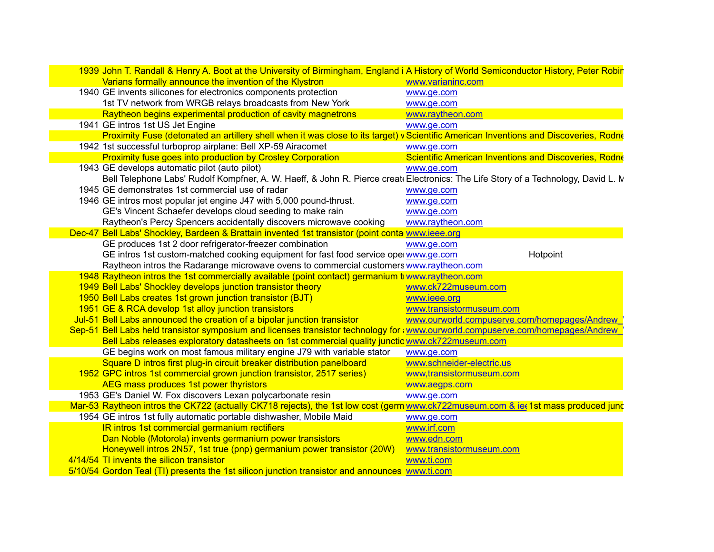| 1939 John T. Randall & Henry A. Boot at the University of Birmingham, England i A History of World Semiconductor History, Peter Robir |                                                       |
|---------------------------------------------------------------------------------------------------------------------------------------|-------------------------------------------------------|
| Varians formally announce the invention of the Klystron                                                                               | www.varianinc.com                                     |
| 1940 GE invents silicones for electronics components protection                                                                       | www.ge.com                                            |
| 1st TV network from WRGB relays broadcasts from New York                                                                              | www.ge.com                                            |
| Raytheon begins experimental production of cavity magnetrons                                                                          | www.raytheon.com                                      |
| 1941 GE intros 1st US Jet Engine                                                                                                      | www.ge.com                                            |
| Proximity Fuse (detonated an artillery shell when it was close to its target) v Scientific American Inventions and Discoveries, Rodne |                                                       |
| 1942 1st successful turboprop airplane: Bell XP-59 Airacomet                                                                          | www.ge.com                                            |
| <b>Proximity fuse goes into production by Crosley Corporation</b>                                                                     | Scientific American Inventions and Discoveries, Rodne |
| 1943 GE develops automatic pilot (auto pilot)                                                                                         | www.ge.com                                            |
| Bell Telephone Labs' Rudolf Kompfner, A. W. Haeff, & John R. Pierce creat Electronics: The Life Story of a Technology, David L. N     |                                                       |
| 1945 GE demonstrates 1st commercial use of radar                                                                                      | www.ge.com                                            |
| 1946 GE intros most popular jet engine J47 with 5,000 pound-thrust.                                                                   | www.ge.com                                            |
| GE's Vincent Schaefer develops cloud seeding to make rain                                                                             | www.ge.com                                            |
| Raytheon's Percy Spencers accidentally discovers microwave cooking                                                                    | www.raytheon.com                                      |
| Dec-47 Bell Labs' Shockley, Bardeen & Brattain invented 1st transistor (point conta www.ieee.org                                      |                                                       |
| GE produces 1st 2 door refrigerator-freezer combination                                                                               | www.ge.com                                            |
| GE intros 1st custom-matched cooking equipment for fast food service operwww.ge.com                                                   | Hotpoint                                              |
| Raytheon intros the Radarange microwave ovens to commercial customers www.raytheon.com                                                |                                                       |
| 1948 Raytheon intros the 1st commercially available (point contact) germanium to www.raytheon.com                                     |                                                       |
| 1949 Bell Labs' Shockley develops junction transistor theory                                                                          | www.ck722museum.com                                   |
| 1950 Bell Labs creates 1st grown junction transistor (BJT)                                                                            | www.ieee.org                                          |
| 1951 GE & RCA develop 1st alloy junction transistors                                                                                  | www.transistormuseum.com                              |
| Jul-51 Bell Labs announced the creation of a bipolar junction transistor                                                              | www.ourworld.compuserve.com/homepages/Andrew          |
| Sep-51 Bell Labs held transistor symposium and licenses transistor technology for awww.ourworld.compuserve.com/homepages/Andrew       |                                                       |
| Bell Labs releases exploratory datasheets on 1st commercial quality junctio www.ck722museum.com                                       |                                                       |
| GE begins work on most famous military engine J79 with variable stator                                                                | www.ge.com                                            |
| Square D intros first plug-in circuit breaker distribution panelboard                                                                 | www.schneider-electric.us                             |
| 1952 GPC intros 1st commercial grown junction transistor, 2517 series)                                                                | www.transistormuseum.com                              |
| AEG mass produces 1st power thyristors                                                                                                | www.aegps.com                                         |
| 1953 GE's Daniel W. Fox discovers Lexan polycarbonate resin                                                                           | www.ge.com                                            |
| Mar-53 Raytheon intros the CK722 (actually CK718 rejects), the 1st low cost (germ www.ck722museum.com & iet 1st mass produced jund    |                                                       |
| 1954 GE intros 1st fully automatic portable dishwasher, Mobile Maid                                                                   | www.ge.com                                            |
| IR intros 1st commercial germanium rectifiers                                                                                         | www.irf.com                                           |
| Dan Noble (Motorola) invents germanium power transistors                                                                              | www.edn.com                                           |
| Honeywell intros 2N57, 1st true (pnp) germanium power transistor (20W)                                                                | www.transistormuseum.com                              |
| 4/14/54 TI invents the silicon transistor                                                                                             | www.ti.com                                            |
| 5/10/54 Gordon Teal (TI) presents the 1st silicon junction transistor and announces www.ti.com                                        |                                                       |

 $\overline{\phantom{a}}$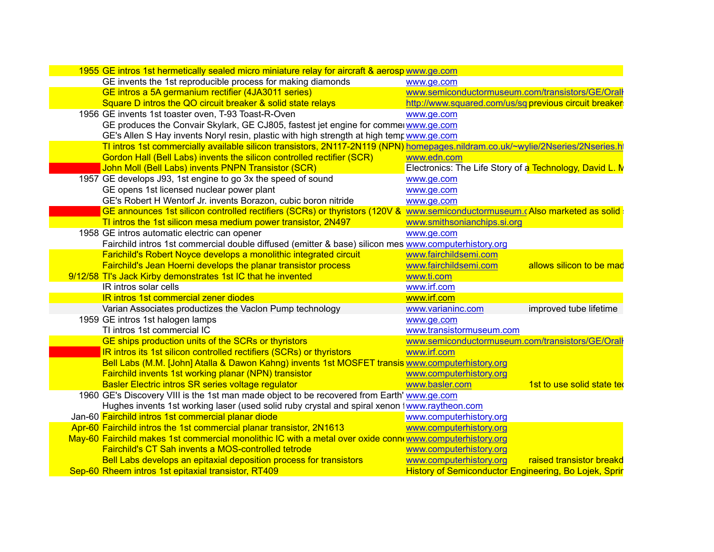| 1955 GE intros 1st hermetically sealed micro miniature relay for aircraft & aerosp www.ge.com                                     |                                                              |
|-----------------------------------------------------------------------------------------------------------------------------------|--------------------------------------------------------------|
| GE invents the 1st reproducible process for making diamonds                                                                       | www.ge.com                                                   |
| GE intros a 5A germanium rectifier (4JA3011 series)                                                                               | www.semiconductormuseum.com/transistors/GE/Oral              |
| Square D intros the QO circuit breaker & solid state relays                                                                       | http://www.squared.com/us/sq previous circuit breaker        |
| 1956 GE invents 1st toaster oven, T-93 Toast-R-Oven                                                                               | www.ge.com                                                   |
| GE produces the Convair Skylark, GE CJ805, fastest jet engine for commerwww.ge.com                                                |                                                              |
| GE's Allen S Hay invents Noryl resin, plastic with high strength at high temp www.ge.com                                          |                                                              |
| TI intros 1st commercially available silicon transistors, 2N117-2N119 (NPN) homepages.nildram.co.uk/~wylie/2Nseries/2Nseries.html |                                                              |
| Gordon Hall (Bell Labs) invents the silicon controlled rectifier (SCR)                                                            | www.edn.com                                                  |
| John Moll (Bell Labs) invents PNPN Transistor (SCR)                                                                               | Electronics: The Life Story of a Technology, David L. N      |
| 1957 GE develops J93, 1st engine to go 3x the speed of sound                                                                      | www.ge.com                                                   |
| GE opens 1st licensed nuclear power plant                                                                                         | www.ge.com                                                   |
| GE's Robert H Wentorf Jr. invents Borazon, cubic boron nitride                                                                    | www.ge.com                                                   |
| GE announces 1st silicon controlled rectifiers (SCRs) or thyristors (120V & www.semiconductormuseum.cAlso marketed as solid       |                                                              |
| TI intros the 1st silicon mesa medium power transistor, 2N497                                                                     | www.smithsonianchips.si.org                                  |
| 1958 GE intros automatic electric can opener                                                                                      | www.ge.com                                                   |
| Fairchild intros 1st commercial double diffused (emitter & base) silicon mes www.computerhistory.org                              |                                                              |
| Farichild's Robert Noyce develops a monolithic integrated circuit                                                                 | www.fairchildsemi.com                                        |
| Fairchild's Jean Hoerni develops the planar transistor process                                                                    | www.fairchildsemi.com<br>allows silicon to be mad            |
| 9/12/58 TI's Jack Kirby demonstrates 1st IC that he invented                                                                      | www.ti.com                                                   |
| IR intros solar cells                                                                                                             | www.irf.com                                                  |
| <b>IR intros 1st commercial zener diodes</b>                                                                                      | www.irf.com                                                  |
| Varian Associates productizes the Vaclon Pump technology                                                                          | improved tube lifetime<br>www.varianinc.com                  |
| 1959 GE intros 1st halogen lamps                                                                                                  | www.ge.com                                                   |
| TI intros 1st commercial IC                                                                                                       | www.transistormuseum.com                                     |
| GE ships production units of the SCRs or thyristors                                                                               | www.semiconductormuseum.com/transistors/GE/Oral              |
| <b>IR intros its 1st silicon controlled rectifiers (SCRs) or thyristors</b>                                                       | www.irf.com                                                  |
| Bell Labs (M.M. [John] Atalla & Dawon Kahng) invents 1st MOSFET transis www.computerhistory.org                                   |                                                              |
| Fairchild invents 1st working planar (NPN) transistor                                                                             | www.computerhistory.org                                      |
| Basler Electric intros SR series voltage regulator                                                                                | www.basler.com<br>1st to use solid state ted                 |
| 1960 GE's Discovery VIII is the 1st man made object to be recovered from Earth' www.ge.com                                        |                                                              |
| Hughes invents 1st working laser (used solid ruby crystal and spiral xenon twww.raytheon.com                                      |                                                              |
| Jan-60 Fairchild intros 1st commercial planar diode                                                                               | www.computerhistory.org                                      |
| Apr-60 Fairchild intros the 1st commercial planar transistor, 2N1613                                                              | www.computerhistory.org                                      |
| May-60 Fairchild makes 1st commercial monolithic IC with a metal over oxide connewww.computerhistory.org                          |                                                              |
| Fairchild's CT Sah invents a MOS-controlled tetrode                                                                               | www.computerhistory.org                                      |
| Bell Labs develops an epitaxial deposition process for transistors                                                                | www.computerhistory.org<br>raised transistor breakd          |
| Sep-60 Rheem intros 1st epitaxial transistor, RT409                                                                               | <b>History of Semiconductor Engineering, Bo Lojek, Sprir</b> |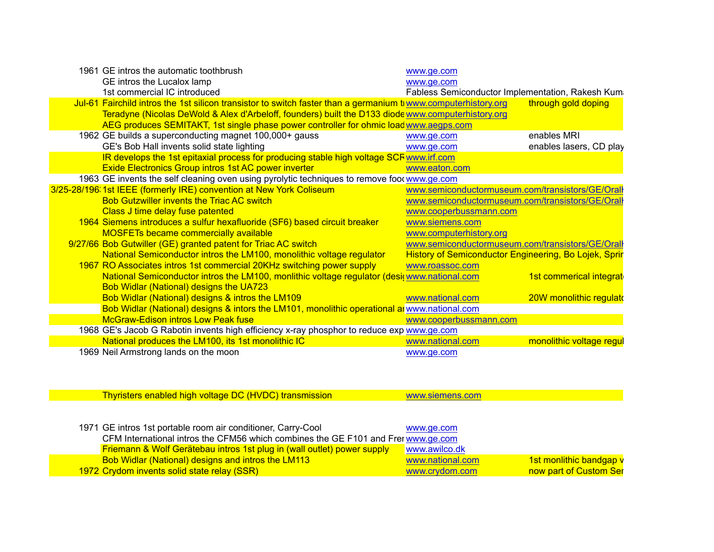| 1961 GE intros the automatic toothbrush                                                                        | www.ge.com                                                   |                          |
|----------------------------------------------------------------------------------------------------------------|--------------------------------------------------------------|--------------------------|
| GE intros the Lucalox lamp                                                                                     | www.ge.com                                                   |                          |
| 1st commercial IC introduced                                                                                   | Fabless Semiconductor Implementation, Rakesh Kum             |                          |
| Jul-61 Fairchild intros the 1st silicon transistor to switch faster than a germanium trwww.computerhistory.org |                                                              | through gold doping      |
| Teradyne (Nicolas DeWold & Alex d'Arbeloff, founders) built the D133 diode www.computerhistory.org             |                                                              |                          |
| AEG produces SEMITAKT, 1st single phase power controller for ohmic load www.aegps.com                          |                                                              |                          |
| 1962 GE builds a superconducting magnet 100,000+ gauss                                                         | www.ge.com                                                   | enables MRI              |
| GE's Bob Hall invents solid state lighting                                                                     | www.ge.com                                                   | enables lasers, CD play  |
| IR develops the 1st epitaxial process for producing stable high voltage SCF www.irf.com                        |                                                              |                          |
| <b>Exide Electronics Group intros 1st AC power inverter</b>                                                    | www.eaton.com                                                |                          |
| 1963 GE invents the self cleaning oven using pyrolytic techniques to remove foot www.ge.com                    |                                                              |                          |
| 3/25-28/196. 1st IEEE (formerly IRE) convention at New York Coliseum                                           | www.semiconductormuseum.com/transistors/GE/Orall             |                          |
| <b>Bob Gutzwiller invents the Triac AC switch</b>                                                              | www.semiconductormuseum.com/transistors/GE/Oral              |                          |
| Class J time delay fuse patented                                                                               | www.cooperbussmann.com                                       |                          |
| 1964 Siemens introduces a sulfur hexafluoride (SF6) based circuit breaker                                      | www.siemens.com                                              |                          |
| <b>MOSFETs became commercially available</b>                                                                   | www.computerhistory.org                                      |                          |
| 9/27/66 Bob Gutwiller (GE) granted patent for Triac AC switch                                                  | www.semiconductormuseum.com/transistors/GE/Orall             |                          |
| National Semiconductor intros the LM100, monolithic voltage regulator                                          | <b>History of Semiconductor Engineering, Bo Lojek, Sprir</b> |                          |
| 1967 RO Associates intros 1st commercial 20KHz switching power supply                                          | www.roassoc.com                                              |                          |
| National Semiconductor intros the LM100, monlithic voltage regulator (desi(www.national.com                    |                                                              | 1st commerical integrat  |
| <b>Bob Widlar (National) designs the UA723</b>                                                                 |                                                              |                          |
| Bob Widlar (National) designs & intros the LM109                                                               | www.national.com                                             | 20W monolithic regulate  |
| Bob Widlar (National) designs & intors the LM101, monolithic operational an www.national.com                   |                                                              |                          |
| <b>McGraw-Edison intros Low Peak fuse</b>                                                                      | www.cooperbussmann.com                                       |                          |
| 1968 GE's Jacob G Rabotin invents high efficiency x-ray phosphor to reduce exp www.ge.com                      |                                                              |                          |
| National produces the LM100, its 1st monolithic IC                                                             | www.national.com                                             | monolithic voltage regul |
| 1969 Neil Armstrong lands on the moon                                                                          | www.ge.com                                                   |                          |

| Thyristers enabled high voltage DC (HVDC) transmission                             | www.siemens.com  |                         |
|------------------------------------------------------------------------------------|------------------|-------------------------|
|                                                                                    |                  |                         |
|                                                                                    |                  |                         |
| 1971 GE intros 1st portable room air conditioner, Carry-Cool                       | www.ge.com       |                         |
| CFM International intros the CFM56 which combines the GE F101 and Frer www.ge.com  |                  |                         |
| <b>Friemann &amp; Wolf Gerätebau intros 1st plug in (wall outlet) power supply</b> | www.awilco.dk    |                         |
| <b>Bob Widlar (National) designs and intros the LM113</b>                          | www.national.com | 1st monlithic bandgap v |
| 1972 Crydom invents solid state relay (SSR)                                        | www.crydom.com   | now part of Custom Ser  |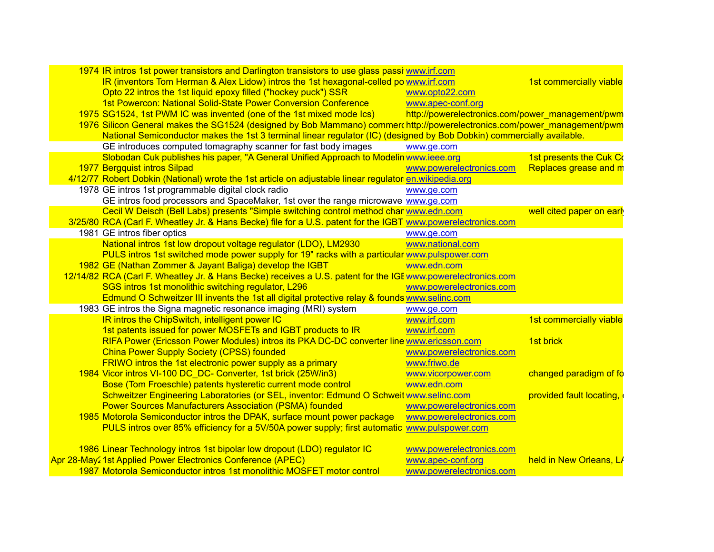| 1974 IR intros 1st power transistors and Darlington transistors to use glass passi www.irf.com                          |                                                  |                          |
|-------------------------------------------------------------------------------------------------------------------------|--------------------------------------------------|--------------------------|
| IR (inventors Tom Herman & Alex Lidow) intros the 1st hexagonal-celled po www.irf.com                                   |                                                  | 1st commercially viable  |
| Opto 22 intros the 1st liquid epoxy filled ("hockey puck") SSR                                                          | www.opto22.com                                   |                          |
| 1st Powercon: National Solid-State Power Conversion Conference                                                          | www.apec-conf.org                                |                          |
| 1975 SG1524, 1st PWM IC was invented (one of the 1st mixed mode Ics)                                                    | http://powerelectronics.com/power_management/pwm |                          |
| 1976 Silicon General makes the SG1524 (designed by Bob Mammano) commer http://powerelectronics.com/power_management/pwm |                                                  |                          |
| National Semiconductor makes the 1st 3 terminal linear regulator (IC) (designed by Bob Dobkin) commercially available.  |                                                  |                          |
| GE introduces computed tomagraphy scanner for fast body images                                                          | www.ge.com                                       |                          |
| Slobodan Cuk publishes his paper, "A General Unified Approach to Modelin www.ieee.org                                   |                                                  | 1st presents the Cuk Co  |
| 1977 Bergquist intros Silpad                                                                                            | www.powerelectronics.com                         | Replaces grease and m    |
| 4/12/77 Robert Dobkin (National) wrote the 1st article on adjustable linear regulator en wikipedia.org                  |                                                  |                          |
| 1978 GE intros 1st programmable digital clock radio                                                                     | www.ge.com                                       |                          |
| GE intros food processors and SpaceMaker, 1st over the range microwave www.ge.com                                       |                                                  |                          |
| Cecil W Deisch (Bell Labs) presents "Simple switching control method char www.edn.com                                   |                                                  | well cited paper on earl |
| 3/25/80 RCA (Carl F. Wheatley Jr. & Hans Becke) file for a U.S. patent for the IGBT www.powerelectronics.com            |                                                  |                          |
| 1981 GE intros fiber optics                                                                                             | www.ge.com                                       |                          |
| National intros 1st low dropout voltage regulator (LDO), LM2930                                                         | www.national.com                                 |                          |
| PULS intros 1st switched mode power supply for 19" racks with a particular www.pulspower.com                            |                                                  |                          |
| 1982 GE (Nathan Zommer & Jayant Baliga) develop the IGBT                                                                | www.edn.com                                      |                          |
| 12/14/82 RCA (Carl F. Wheatley Jr. & Hans Becke) receives a U.S. patent for the IGE www.powerelectronics.com            |                                                  |                          |
| SGS intros 1st monolithic switching regulator, L296                                                                     | www.powerelectronics.com                         |                          |
| Edmund O Schweitzer III invents the 1st all digital protective relay & founds www.selinc.com                            |                                                  |                          |
| 1983 GE intros the Signa magnetic resonance imaging (MRI) system                                                        | www.ge.com                                       |                          |
| IR intros the ChipSwitch, intelligent power IC                                                                          | www.irf.com                                      | 1st commercially viable  |
| 1st patents issued for power MOSFETs and IGBT products to IR                                                            | www.irf.com                                      |                          |
| RIFA Power (Ericsson Power Modules) intros its PKA DC-DC converter line www.ericsson.com                                |                                                  | 1st brick                |
| <b>China Power Supply Society (CPSS) founded</b>                                                                        | www.powerelectronics.com                         |                          |
| <b>FRIWO</b> intros the 1st electronic power supply as a primary                                                        | www.friwo.de                                     |                          |
| 1984 Vicor intros VI-100 DC DC- Converter, 1st brick (25W/in3)                                                          | www.vicorpower.com                               | changed paradigm of fo   |
| Bose (Tom Froeschle) patents hysteretic current mode control                                                            | www.edn.com                                      |                          |
| Schweitzer Engineering Laboratories (or SEL, inventor: Edmund O Schweit www.selinc.com                                  |                                                  | provided fault locating, |
| <b>Power Sources Manufacturers Association (PSMA) founded</b>                                                           | www.powerelectronics.com                         |                          |
| 1985 Motorola Semiconductor intros the DPAK, surface mount power package                                                | www.powerelectronics.com                         |                          |
| PULS intros over 85% efficiency for a 5V/50A power supply; first automatic www.pulspower.com                            |                                                  |                          |
| 1986 Linear Technology intros 1st bipolar low dropout (LDO) regulator IC                                                | www.powerelectronics.com                         |                          |
| Apr 28-May2 1st Applied Power Electronics Conference (APEC)                                                             | www.apec-conf.org                                | held in New Orleans, LA  |
| 1987 Motorola Semiconductor intros 1st monolithic MOSFET motor control                                                  | www.powerelectronics.com                         |                          |
|                                                                                                                         |                                                  |                          |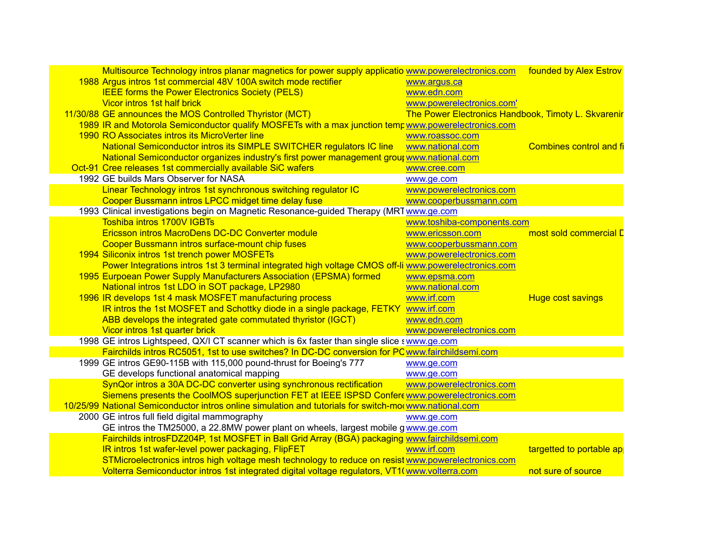| Multisource Technology intros planar magnetics for power supply applicatio www.powerelectronics.com founded by Alex Estrov |                                |
|----------------------------------------------------------------------------------------------------------------------------|--------------------------------|
| 1988 Argus intros 1st commercial 48V 100A switch mode rectifier<br>www.argus.ca                                            |                                |
| <b>IEEE forms the Power Electronics Society (PELS)</b><br>www.edn.com                                                      |                                |
| Vicor intros 1st half brick<br>www.powerelectronics.com'                                                                   |                                |
| 11/30/88 GE announces the MOS Controlled Thyristor (MCT)<br>The Power Electronics Handbook, Timoty L. Skvarenir            |                                |
| 1989 IR and Motorola Semiconductor qualify MOSFETs with a max junction temp www.powerelectronics.com                       |                                |
| 1990 RO Associates intros its MicroVerter line<br>www.roassoc.com                                                          |                                |
| National Semiconductor intros its SIMPLE SWITCHER regulators IC line<br>www.national.com                                   | <b>Combines control and fi</b> |
| National Semiconductor organizes industry's first power management grout www.national.com                                  |                                |
| Oct-91 Cree releases 1st commercially available SiC wafers<br>www.cree.com                                                 |                                |
| 1992 GE builds Mars Observer for NASA<br>www.ge.com                                                                        |                                |
| Linear Technology intros 1st synchronous switching regulator IC<br>www.powerelectronics.com                                |                                |
| Cooper Bussmann intros LPCC midget time delay fuse<br>www.cooperbussmann.com                                               |                                |
| 1993 Clinical investigations begin on Magnetic Resonance-guided Therapy (MRT www.ge.com                                    |                                |
| <b>Toshiba intros 1700V IGBTs</b><br>www.toshiba-components.com                                                            |                                |
| Ericsson intros MacroDens DC-DC Converter module<br>www.ericsson.com                                                       | most sold commercial D         |
| Cooper Bussmann intros surface-mount chip fuses<br>www.cooperbussmann.com                                                  |                                |
| 1994 Siliconix intros 1st trench power MOSFETs<br>www.powerelectronics.com                                                 |                                |
| Power Integrations intros 1st 3 terminal integrated high voltage CMOS off-li www.powerelectronics.com                      |                                |
| 1995 Eurpoean Power Supply Manufacturers Association (EPSMA) formed<br>www.epsma.com                                       |                                |
| National intros 1st LDO in SOT package, LP2980<br>www.national.com                                                         |                                |
| 1996 IR develops 1st 4 mask MOSFET manufacturing process<br>www.irf.com<br><b>Huge cost savings</b>                        |                                |
| IR intros the 1st MOSFET and Schottky diode in a single package, FETKY<br>www.irf.com                                      |                                |
| ABB develops the integrated gate commutated thyristor (IGCT)<br>www.edn.com                                                |                                |
| Vicor intros 1st quarter brick<br>www.powerelectronics.com                                                                 |                                |
| 1998 GE intros Lightspeed, QX/I CT scanner which is 6x faster than single slice swww.ge.com                                |                                |
| Fairchilds intros RC5051, 1st to use switches? In DC-DC conversion for PC www.fairchildsemi.com                            |                                |
| 1999 GE intros GE90-115B with 115,000 pound-thrust for Boeing's 777<br>www.ge.com                                          |                                |
| GE develops functional anatomical mapping<br>www.ge.com                                                                    |                                |
| SynQor intros a 30A DC-DC converter using synchronous rectification<br>www.powerelectronics.com                            |                                |
| Siemens presents the CoolMOS superjunction FET at IEEE ISPSD Confere www.powerelectronics.com                              |                                |
| 10/25/99 National Semiconductor intros online simulation and tutorials for switch-mor www.national.com                     |                                |
| 2000 GE intros full field digital mammography<br>www.ge.com                                                                |                                |
| GE intros the TM25000, a 22.8MW power plant on wheels, largest mobile gwww.ge.com                                          |                                |
| Fairchilds introsFDZ204P, 1st MOSFET in Ball Grid Array (BGA) packaging www.fairchildsemi.com                              |                                |
| IR intros 1st wafer-level power packaging, FlipFET<br>www.irf.com                                                          | targetted to portable ap       |
| STMicroelectronics intros high voltage mesh technology to reduce on resist www.powerelectronics.com                        |                                |
| Volterra Semiconductor intros 1st integrated digital voltage regulators, VT1(www.volterra.com<br>not sure of source        |                                |